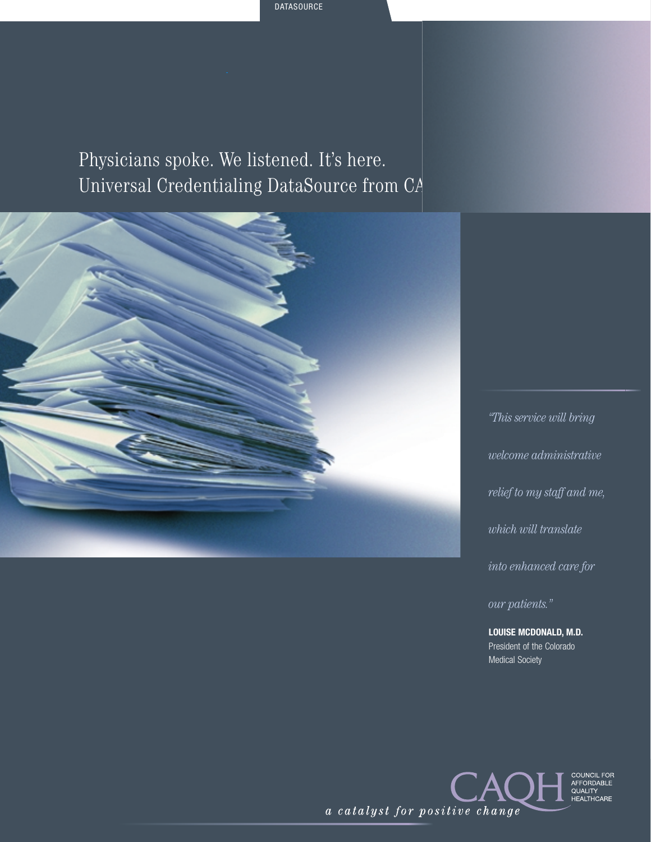Physicians spoke. We listened. It's here. Universal Credentialing DataSource from CA



*"This service will bring welcome administrative relief to my staff and me, which will translate into enhanced care for our patients."* 

**LOUISE MCDONALD, M.D.**  President of the Colorado Medical Society